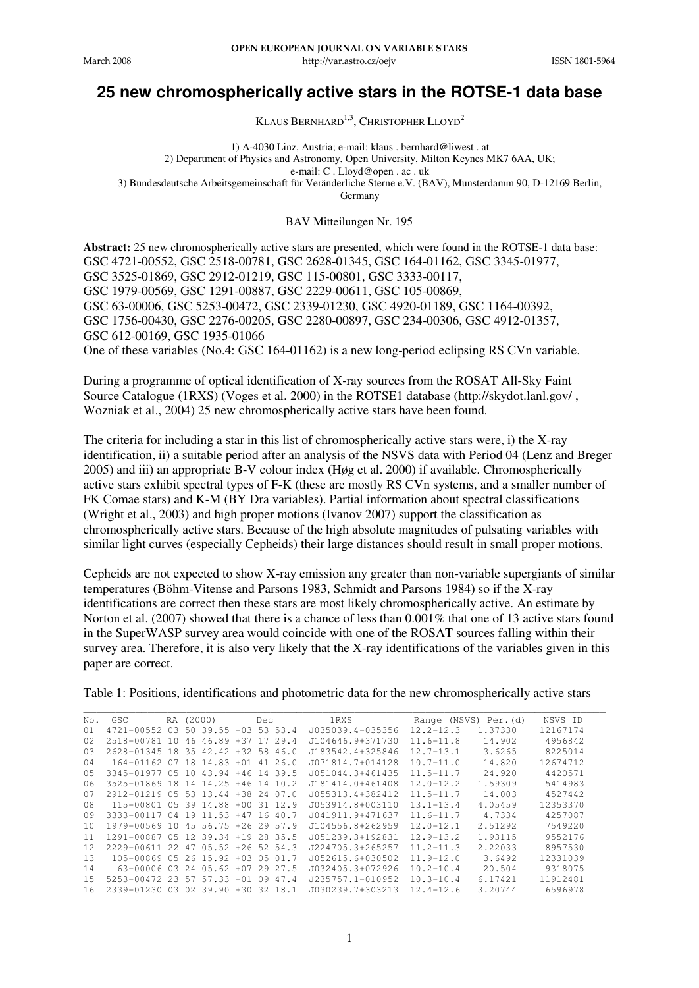tp://var.ast

# **25 new chromospherically active stars in the ROTSE-1 data base**

KLAUS BERNHARD<sup>1,3</sup>, CHRISTOPHER LLOYD<sup>2</sup>

1) A-4030 Linz, Austria; e-mail: klaus . bernhard@liwest . at 2) Department of Physics and Astronomy, Open University, Milton Keynes MK7 6AA, UK; e-mail: C . Lloyd@open . ac . uk 3) Bundesdeutsche Arbeitsgemeinschaft für Veränderliche Sterne e.V. (BAV), Munsterdamm 90, D-12169 Berlin, Germany

BAV Mitteilungen Nr. 195

**Abstract:** 25 new chromospherically active stars are presented, which were found in the ROTSE-1 data base: GSC 4721-00552, GSC 2518-00781, GSC 2628-01345, GSC 164-01162, GSC 3345-01977, GSC 3525-01869, GSC 2912-01219, GSC 115-00801, GSC 3333-00117, GSC 1979-00569, GSC 1291-00887, GSC 2229-00611, GSC 105-00869, GSC 63-00006, GSC 5253-00472, GSC 2339-01230, GSC 4920-01189, GSC 1164-00392, GSC 1756-00430, GSC 2276-00205, GSC 2280-00897, GSC 234-00306, GSC 4912-01357, GSC 612-00169, GSC 1935-01066 One of these variables (No.4: GSC 164-01162) is a new long-period eclipsing RS CVn variable.

During a programme of optical identification of X-ray sources from the ROSAT All-Sky Faint Source Catalogue (1RXS) (Voges et al. 2000) in the ROTSE1 database (http://skydot.lanl.gov/ , Wozniak et al., 2004) 25 new chromospherically active stars have been found.

The criteria for including a star in this list of chromospherically active stars were, i) the X-ray identification, ii) a suitable period after an analysis of the NSVS data with Period 04 (Lenz and Breger 2005) and iii) an appropriate B-V colour index (Høg et al. 2000) if available. Chromospherically active stars exhibit spectral types of F-K (these are mostly RS CVn systems, and a smaller number of FK Comae stars) and K-M (BY Dra variables). Partial information about spectral classifications (Wright et al., 2003) and high proper motions (Ivanov 2007) support the classification as chromospherically active stars. Because of the high absolute magnitudes of pulsating variables with similar light curves (especially Cepheids) their large distances should result in small proper motions.

Cepheids are not expected to show X-ray emission any greater than non-variable supergiants of similar temperatures (Böhm-Vitense and Parsons 1983, Schmidt and Parsons 1984) so if the X-ray identifications are correct then these stars are most likely chromospherically active. An estimate by Norton et al. (2007) showed that there is a chance of less than 0.001% that one of 13 active stars found in the SuperWASP survey area would coincide with one of the ROSAT sources falling within their survey area. Therefore, it is also very likely that the X-ray identifications of the variables given in this paper are correct.

Table 1: Positions, identifications and photometric data for the new chromospherically active stars

| No.               | GSC                                |  | RA (2000)                   |       | Dec |               | <b>1RXS</b>      |               | Range (NSVS) Per. (d) | NSVS ID  |  |
|-------------------|------------------------------------|--|-----------------------------|-------|-----|---------------|------------------|---------------|-----------------------|----------|--|
| 01                | 4721-00552 03 50 39.55             |  |                             |       |     | $-03$ 53 53.4 | J035039.4-035356 | $12.2 - 12.3$ | 1.37330               | 12167174 |  |
| 02                | 2518-00781 10                      |  | 46 46.89 +37 17 29.4        |       |     |               | J104646.9+371730 | $11.6 - 11.8$ | 14.902                | 4956842  |  |
| 03                | 2628-01345 18 35 42.42 +32 58 46.0 |  |                             |       |     |               | J183542.4+325846 | $12.7 - 13.1$ | 3.6265                | 8225014  |  |
| 04                | 164-01162 07 18 14.83 +01 41 26.0  |  |                             |       |     |               | J071814.7+014128 | $10.7 - 11.0$ | 14.820                | 12674712 |  |
| 05                | 3345-01977 05 10 43.94 +46 14 39.5 |  |                             |       |     |               | J051044.3+461435 | $11.5 - 11.7$ | 24.920                | 4420571  |  |
| 06                | 3525-01869 18 14 14.25 +46 14 10.2 |  |                             |       |     |               | J181414.0+461408 | $12.0 - 12.2$ | 1.59309               | 5414983  |  |
| 07                | 2912-01219 05 53 13.44 +38 24 07.0 |  |                             |       |     |               | J055313.4+382412 | $11.5 - 11.7$ | 14,003                | 4527442  |  |
| 08                | 115-00801 05 39 14.88 +00 31 12.9  |  |                             |       |     |               | J053914.8+003110 | $13.1 - 13.4$ | 4.05459               | 12353370 |  |
| 09                | 3333-00117 04 19 11.53 +47 16 40.7 |  |                             |       |     |               | J041911.9+471637 | $11.6 - 11.7$ | 4.7334                | 4257087  |  |
| 10                | 1979-00569 10 45 56.75 +26 29 57.9 |  |                             |       |     |               | J104556.8+262959 | $12.0 - 12.1$ | 2.51292               | 7549220  |  |
| 11                | 1291-00887 05 12 39.34 +19 28 35.5 |  |                             |       |     |               | J051239.3+192831 | $12.9 - 13.2$ | 1.93115               | 9552176  |  |
| $12 \overline{ }$ | 2229-00611 22                      |  | $47, 05.52$ $+26, 52, 54.3$ |       |     |               | J224705.3+265257 | $11.2 - 11.3$ | 2.22033               | 8957530  |  |
| 13                | 105-00869 05 26 15.92 +03 05 01.7  |  |                             |       |     |               | J052615.6+030502 | $11.9 - 12.0$ | 3.6492                | 12331039 |  |
| 14                | 63-00006 03                        |  | 24 05.62 +07 29 27.5        |       |     |               | J032405.3+072926 | $10.2 - 10.4$ | 20.504                | 9318075  |  |
| 15                | 5253-00472 23 57                   |  | 57.33                       | $-01$ | 09  | 47.4          | J235757.1-010952 | $10.3 - 10.4$ | 6.17421               | 11912481 |  |
| 16                | 2339-01230 03 02 39.90 +30 32 18.1 |  |                             |       |     |               | J030239.7+303213 | $12.4 - 12.6$ | 3.20744               | 6596978  |  |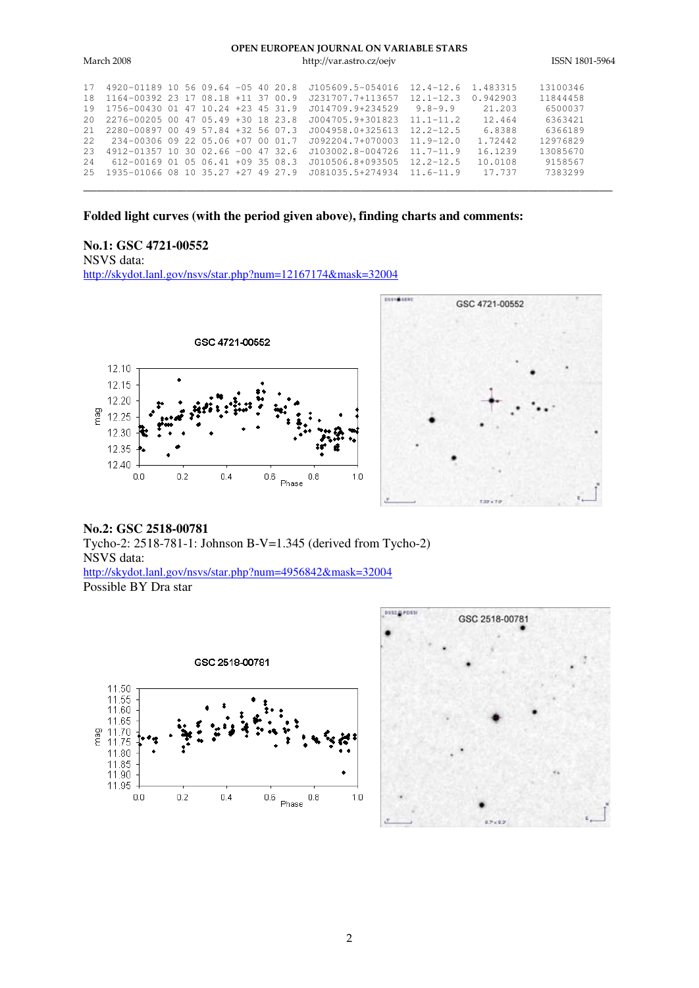#### OPEN EUROPEAN IOURNAL ON VARIABLE STARS

| March 2008 |                                    |  |  |  |  |  | http://var.astro.cz/oejv | ISSN 1801-5964 |          |          |
|------------|------------------------------------|--|--|--|--|--|--------------------------|----------------|----------|----------|
| 17         | 4920-01189 10 56 09.64 -05 40 20.8 |  |  |  |  |  | J105609.5-054016         | $12.4 - 12.6$  | 1.483315 | 13100346 |
| 18         | 1164-00392 23 17 08.18 +11 37 00.9 |  |  |  |  |  | 1231707.7+113657         | $12.1 - 12.3$  | 0.942903 | 11844458 |
| 19         | 1756-00430 01 47 10.24 +23 45 31.9 |  |  |  |  |  | J014709.9+234529         | $9.8 - 9.9$    | 21.203   | 6500037  |
| 20         | 2276-00205 00 47 05.49 +30 18 23.8 |  |  |  |  |  | J004705.9+301823         | $11.1 - 11.2$  | 12.464   | 6363421  |
| 21         | 2280-00897 00 49 57.84 +32 56 07.3 |  |  |  |  |  | J004958.0+325613         | $12.2 - 12.5$  | 6.8388   | 6366189  |
| 22.        | 234-00306 09 22 05.06 +07 00 01.7  |  |  |  |  |  | J092204.7+070003         | $11.9 - 12.0$  | 1.72442  | 12976829 |
| 23         | 4912-01357 10 30 02.66 -00 47 32.6 |  |  |  |  |  | J103002.8-004726         | $11.7 - 11.9$  | 16.1239  | 13085670 |
| 2.4        | 612-00169 01 05 06.41 +09 35 08.3  |  |  |  |  |  | J010506.8+093505         | $12.2 - 12.5$  | 10.0108  | 9158567  |
| 2.5        | 1935-01066 08 10 35.27 +27 49 27.9 |  |  |  |  |  | J081035.5+274934         | $116 - -119$   | 17.737   | 7383299  |
|            |                                    |  |  |  |  |  |                          |                |          |          |

# **Folded light curves (with the period given above), finding charts and comments:**

#### **No.1: GSC 4721-00552**

NSVS data: http://skydot.lanl.gov/nsvs/star.php?num=12167174&mask=32004





### **No.2: GSC 2518-00781**

Tycho-2: 2518-781-1: Johnson B-V=1.345 (derived from Tycho-2) NSVS data: http://skydot.lanl.gov/nsvs/star.php?num=4956842&mask=32004 Possible BY Dra star



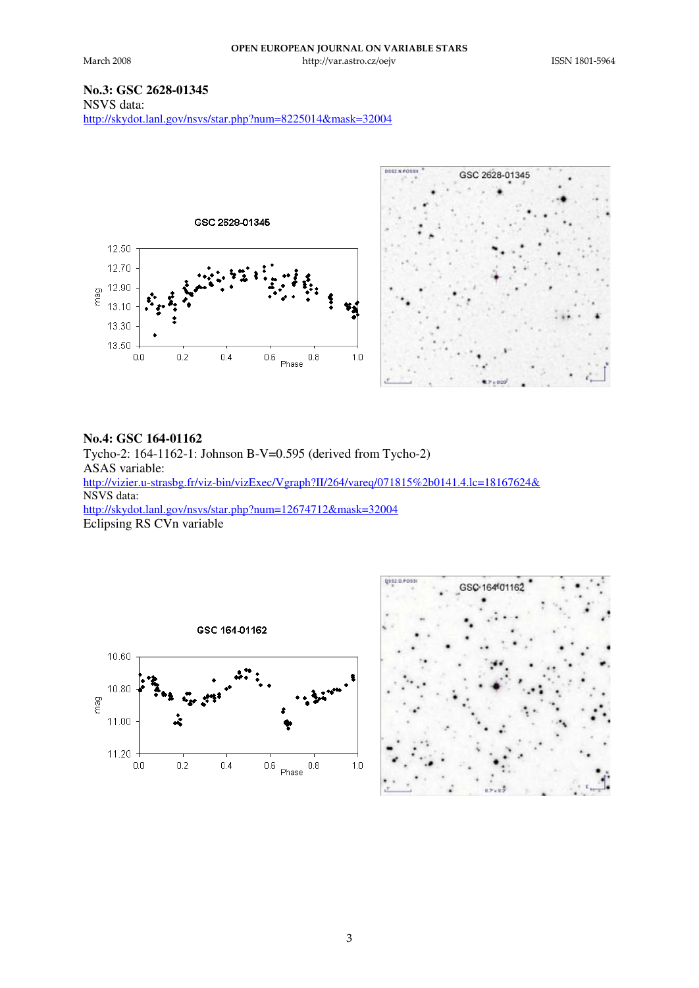tp://var.ast

# **No.3: GSC 2628-01345**

NSVS data: http://skydot.lanl.gov/nsvs/star.php?num=8225014&mask=32004



### **No.4: GSC 164-01162**

Tycho-2: 164-1162-1: Johnson B-V=0.595 (derived from Tycho-2) ASAS variable: http://vizier.u-strasbg.fr/viz-bin/vizExec/Vgraph?II/264/vareq/071815%2b0141.4.lc=18167624& NSVS data: http://skydot.lanl.gov/nsvs/star.php?num=12674712&mask=32004 Eclipsing RS CVn variable



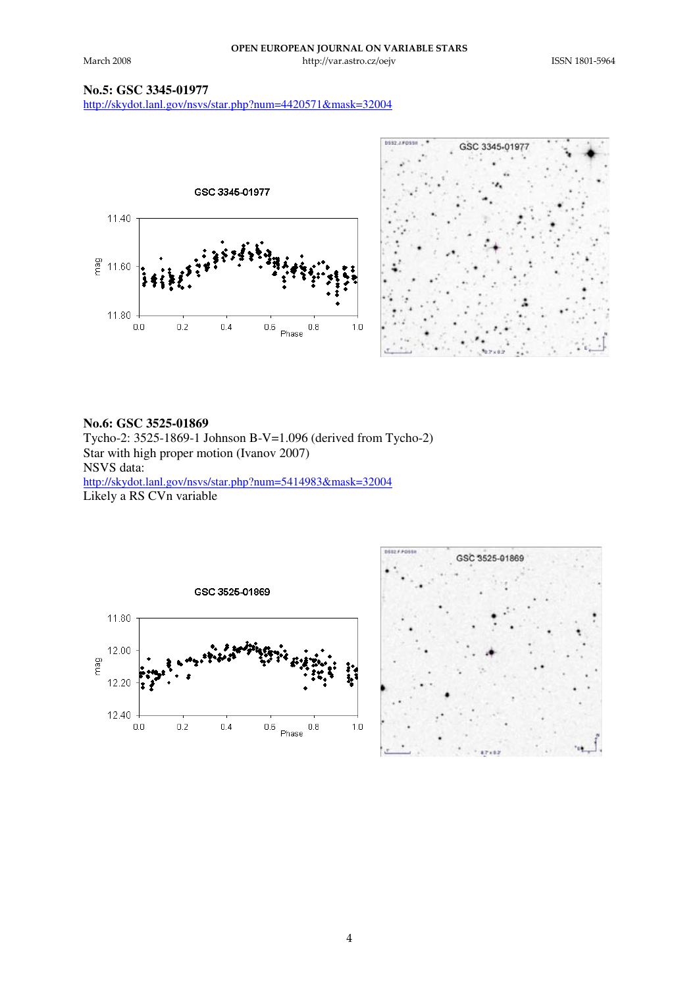tp://var.ast

# **No.5: GSC 3345-01977**

http://skydot.lanl.gov/nsvs/star.php?num=4420571&mask=32004





#### **No.6: GSC 3525-01869**

Tycho-2: 3525-1869-1 Johnson B-V=1.096 (derived from Tycho-2) Star with high proper motion (Ivanov 2007) NSVS data: http://skydot.lanl.gov/nsvs/star.php?num=5414983&mask=32004 Likely a RS CVn variable



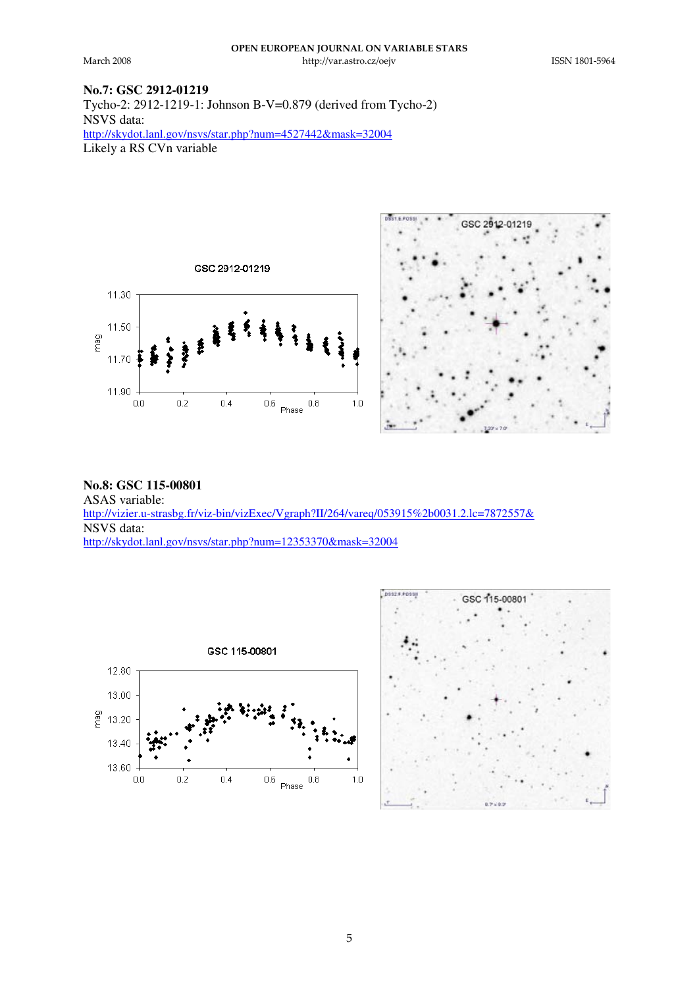tp://var.ast

 

# **No.7: GSC 2912-01219**

Tycho-2: 2912-1219-1: Johnson B-V=0.879 (derived from Tycho-2) NSVS data: http://skydot.lanl.gov/nsvs/star.php?num=4527442&mask=32004 Likely a RS CVn variable





**No.8: GSC 115-00801** ASAS variable: http://vizier.u-strasbg.fr/viz-bin/vizExec/Vgraph?II/264/vareq/053915%2b0031.2.lc=7872557& NSVS data: http://skydot.lanl.gov/nsvs/star.php?num=12353370&mask=32004



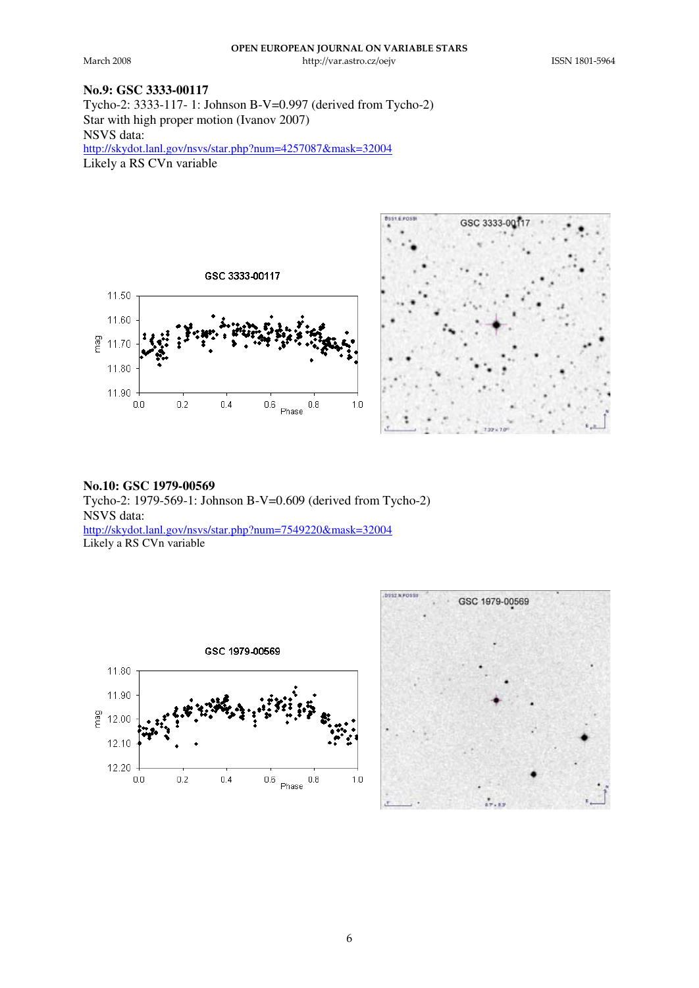tp://var.ast

 

### **No.9: GSC 3333-00117**

Tycho-2: 3333-117- 1: Johnson B-V=0.997 (derived from Tycho-2) Star with high proper motion (Ivanov 2007) NSVS data: http://skydot.lanl.gov/nsvs/star.php?num=4257087&mask=32004 Likely a RS CV<sub>n</sub> variable





# **No.10: GSC 1979-00569** Tycho-2: 1979-569-1: Johnson B-V=0.609 (derived from Tycho-2) NSVS data: http://skydot.lanl.gov/nsvs/star.php?num=7549220&mask=32004

Likely a RS CVn variable



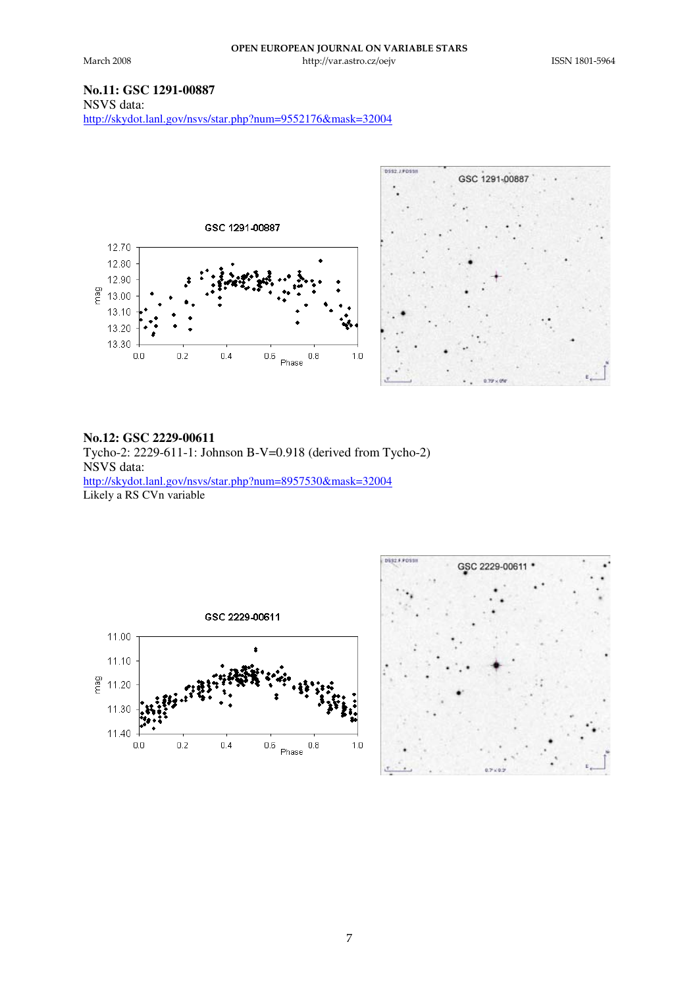tp://var.ast

 

# **No.11: GSC 1291-00887**

NSVS data: http://skydot.lanl.gov/nsvs/star.php?num=9552176&mask=32004



### **No.12: GSC 2229-00611**

Tycho-2: 2229-611-1: Johnson B-V=0.918 (derived from Tycho-2) NSVS data: http://skydot.lanl.gov/nsvs/star.php?num=8957530&mask=32004 Likely a RS CVn variable



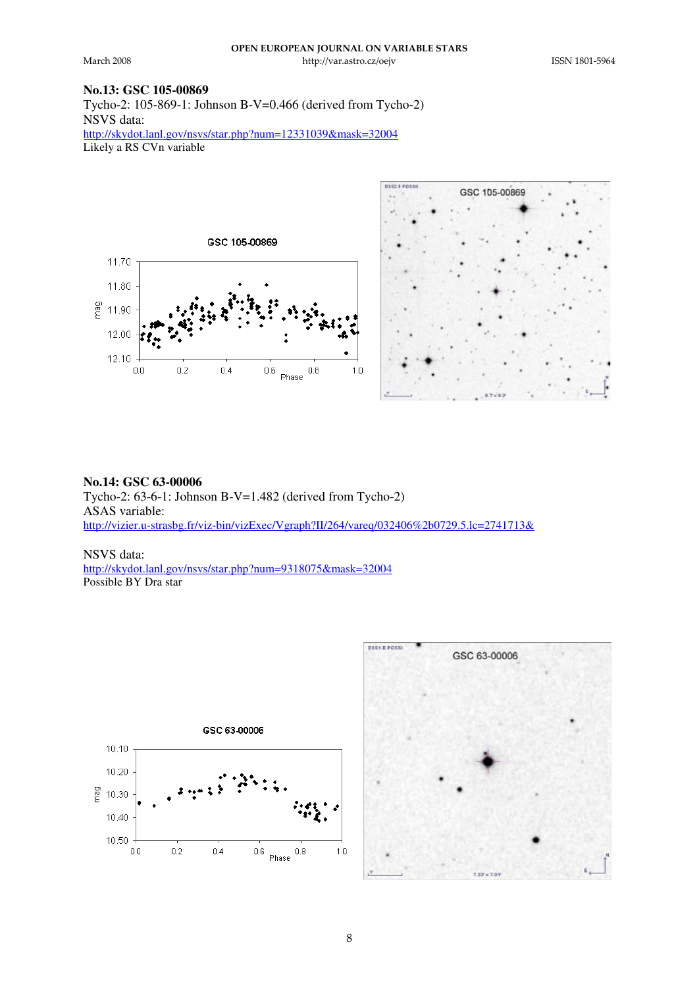tp://var.ast

**DSST F POSSI** 

 

# **No.13: GSC 105-00869**

Tycho-2: 105-869-1: Johnson B-V=0.466 (derived from Tycho-2) NSVS data: http://skydot.lanl.gov/nsvs/star.php?num=12331039&mask=32004 Likely a RS CVn variable





**No.14: GSC 63-00006** Tycho-2: 63-6-1: Johnson B-V=1.482 (derived from Tycho-2) ASAS variable: http://vizier.u-strasbg.fr/viz-bin/vizExec/Vgraph?II/264/vareq/032406%2b0729.5.lc=2741713&

NSVS data: http://skydot.lanl.gov/nsvs/star.php?num=9318075&mask=32004 Possible BY Dra star



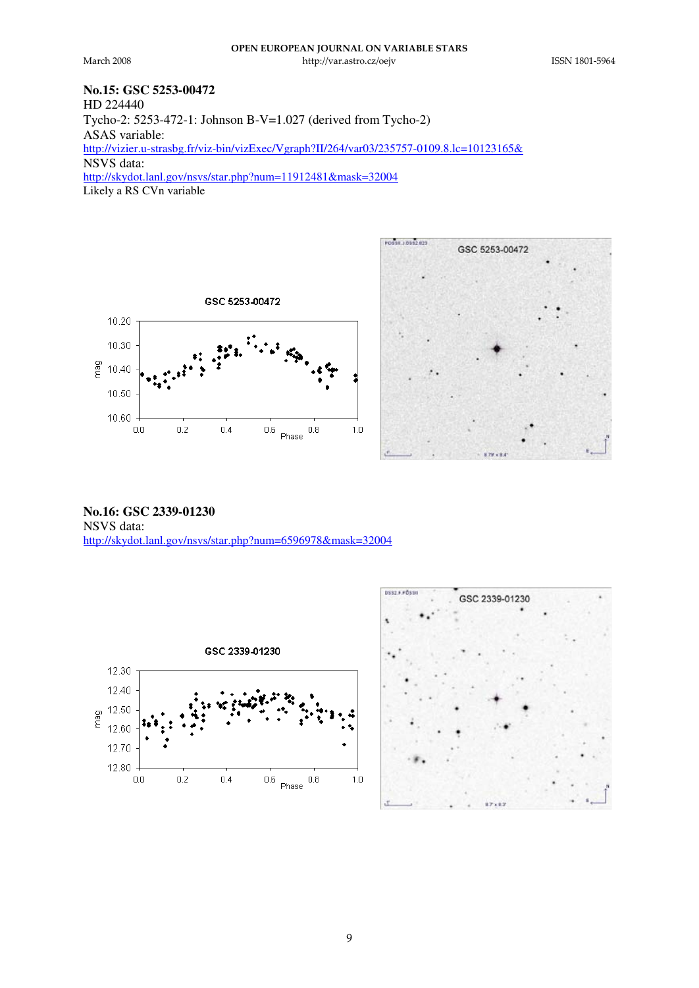tp://var.ast

 

# **No.15: GSC 5253-00472**

HD 224440 Tycho-2: 5253-472-1: Johnson B-V=1.027 (derived from Tycho-2) ASAS variable: http://vizier.u-strasbg.fr/viz-bin/vizExec/Vgraph?II/264/var03/235757-0109.8.lc=10123165& NSVS data: http://skydot.lanl.gov/nsvs/star.php?num=11912481&mask=32004 Likely a RS CVn variable





**No.16: GSC 2339-01230** NSVS data: http://skydot.lanl.gov/nsvs/star.php?num=6596978&mask=32004



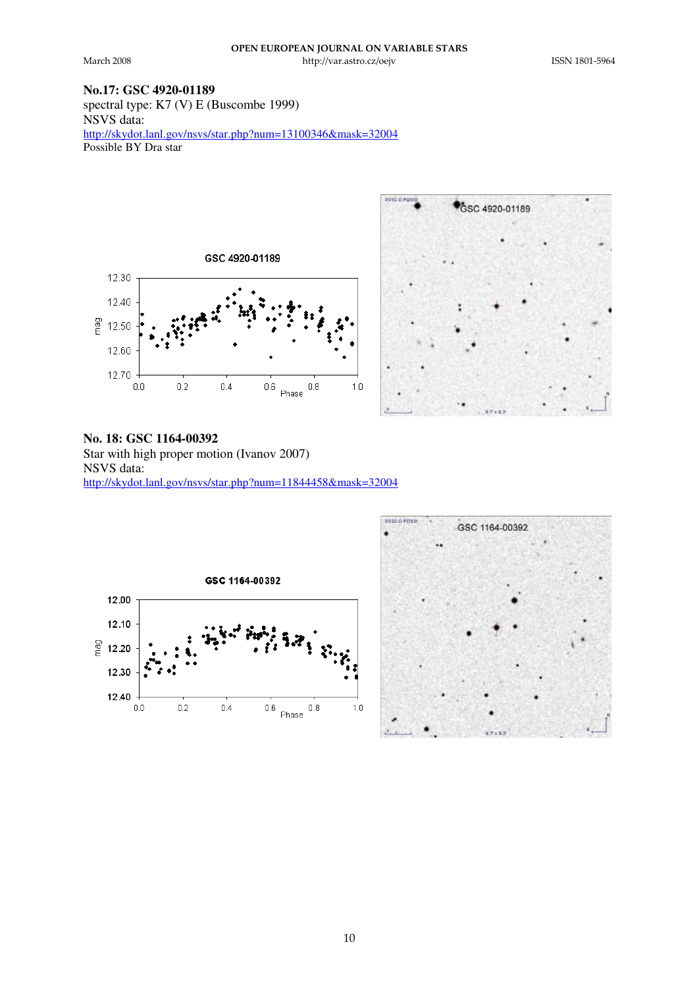tp://var.ast

 

### **No.17: GSC 4920-01189**

spectral type: K7 (V) E (Buscombe 1999) NSVS data: http://skydot.lanl.gov/nsvs/star.php?num=13100346&mask=32004 Possible BY Dra star





**No. 18: GSC 1164-00392** Star with high proper motion (Ivanov 2007) NSVS data: http://skydot.lanl.gov/nsvs/star.php?num=11844458&mask=32004



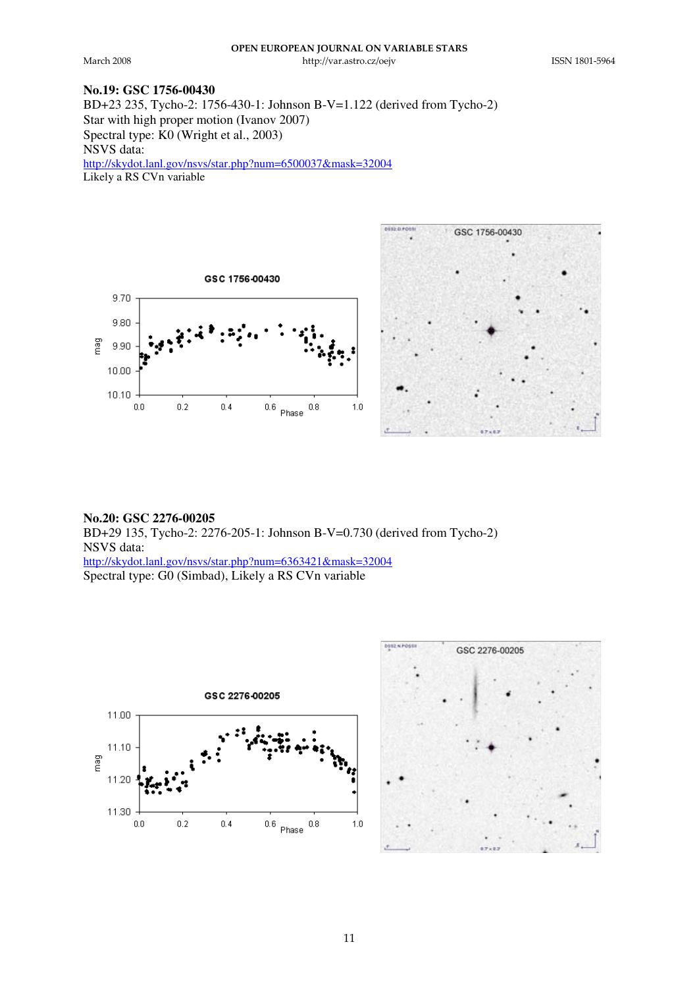tp://var.ast

 

### **No.19: GSC 1756-00430**

BD+23 235, Tycho-2: 1756-430-1: Johnson B-V=1.122 (derived from Tycho-2) Star with high proper motion (Ivanov 2007) Spectral type: K0 (Wright et al., 2003) NSVS data: http://skydot.lanl.gov/nsvs/star.php?num=6500037&mask=32004

Likely a RS CVn variable



**No.20: GSC 2276-00205** BD+29 135, Tycho-2: 2276-205-1: Johnson B-V=0.730 (derived from Tycho-2) NSVS data: http://skydot.lanl.gov/nsvs/star.php?num=6363421&mask=32004 Spectral type: G0 (Simbad), Likely a RS CVn variable

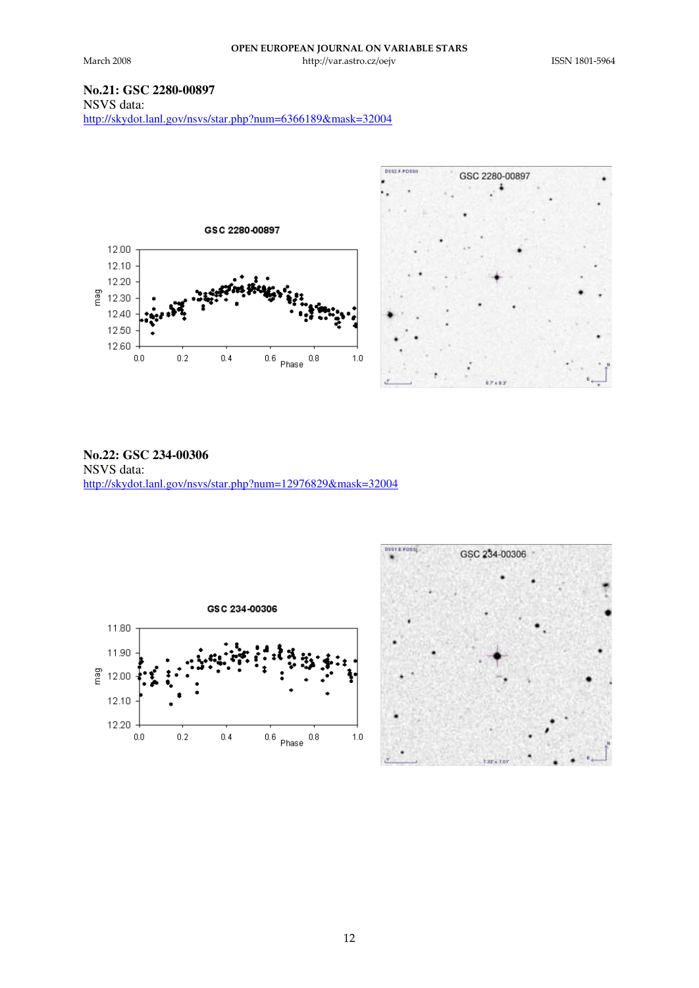tp://var.ast

 

# **No.21: GSC 2280-00897**

NSVS data: http://skydot.lanl.gov/nsvs/star.php?num=6366189&mask=32004



**No.22: GSC 234-00306** NSVS data: http://skydot.lanl.gov/nsvs/star.php?num=12976829&mask=32004



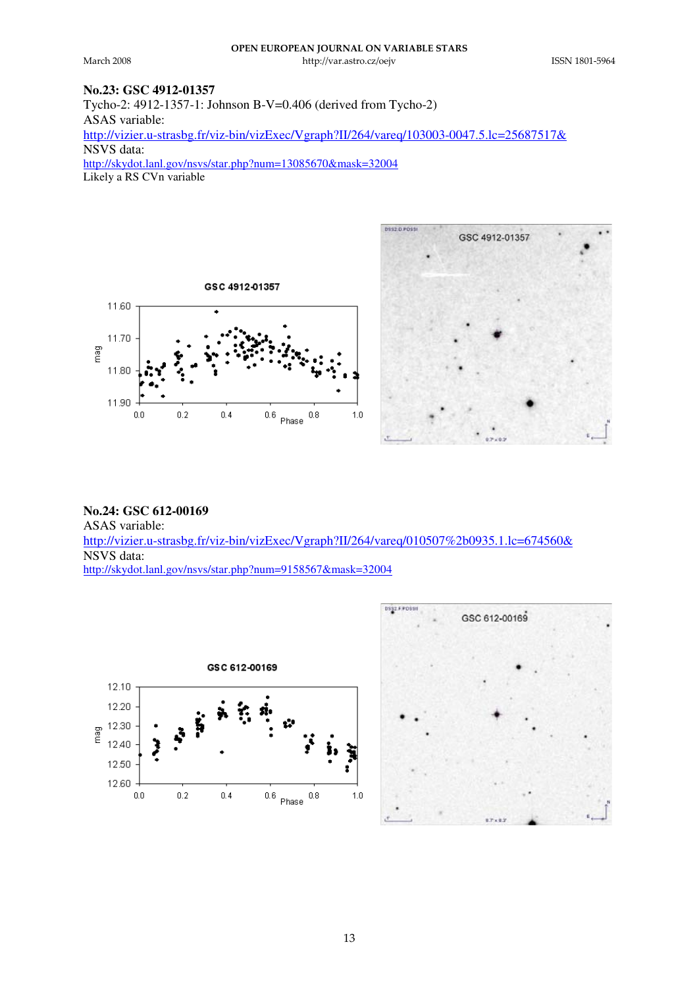tp://var.ast

 

# **No.23: GSC 4912-01357**

Tycho-2: 4912-1357-1: Johnson B-V=0.406 (derived from Tycho-2) ASAS variable: http://vizier.u-strasbg.fr/viz-bin/vizExec/Vgraph?II/264/vareq/103003-0047.5.lc=25687517& NSVS data: http://skydot.lanl.gov/nsvs/star.php?num=13085670&mask=32004

Likely a RS CV<sub>n</sub> variable





**No.24: GSC 612-00169** ASAS variable: http://vizier.u-strasbg.fr/viz-bin/vizExec/Vgraph?II/264/vareq/010507%2b0935.1.lc=674560& NSVS data: http://skydot.lanl.gov/nsvs/star.php?num=9158567&mask=32004



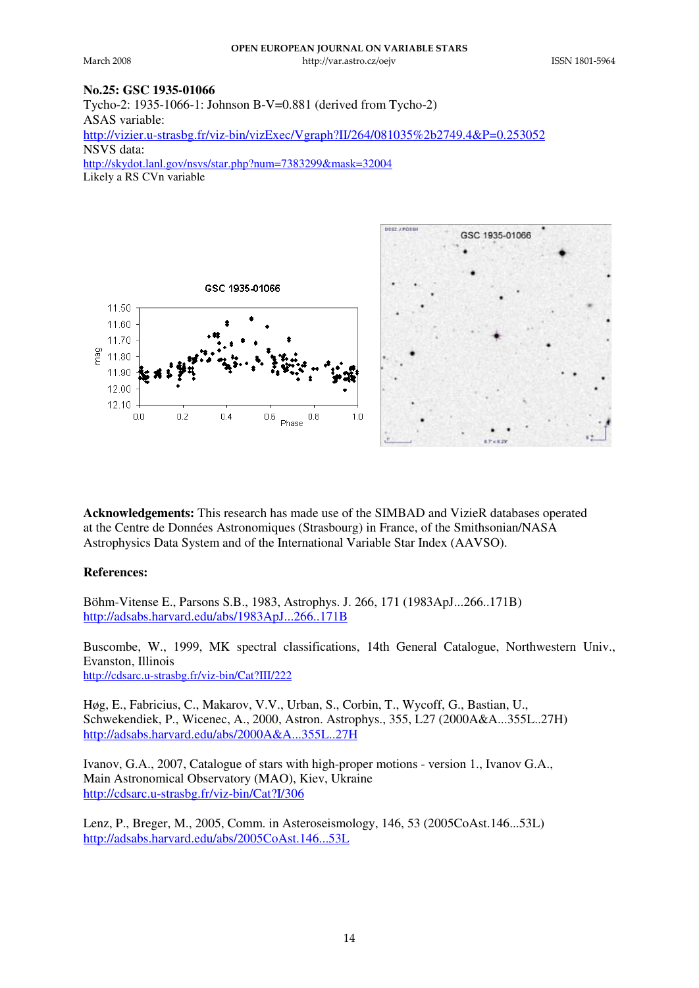tp://var.ast

**ICCNT 1801-5064** 

#### **No.25: GSC 1935-01066**

Tycho-2: 1935-1066-1: Johnson B-V=0.881 (derived from Tycho-2) ASAS variable: http://vizier.u-strasbg.fr/viz-bin/vizExec/Vgraph?II/264/081035%2b2749.4&P=0.253052 NSVS data: http://skydot.lanl.gov/nsvs/star.php?num=7383299&mask=32004

Likely a RS CVn variable



**Acknowledgements:** This research has made use of the SIMBAD and VizieR databases operated at the Centre de Données Astronomiques (Strasbourg) in France, of the Smithsonian/NASA Astrophysics Data System and of the International Variable Star Index (AAVSO).

#### **References:**

Böhm-Vitense E., Parsons S.B., 1983, Astrophys. J. 266, 171 (1983ApJ...266..171B) http://adsabs.harvard.edu/abs/1983ApJ...266..171B

Buscombe, W., 1999, MK spectral classifications, 14th General Catalogue, Northwestern Univ., Evanston, Illinois http://cdsarc.u-strasbg.fr/viz-bin/Cat?III/222

Høg, E., Fabricius, C., Makarov, V.V., Urban, S., Corbin, T., Wycoff, G., Bastian, U., Schwekendiek, P., Wicenec, A., 2000, Astron. Astrophys., 355, L27 (2000A&A...355L..27H) http://adsabs.harvard.edu/abs/2000A&A...355L..27H

Ivanov, G.A., 2007, Catalogue of stars with high-proper motions - version 1., Ivanov G.A., Main Astronomical Observatory (MAO), Kiev, Ukraine http://cdsarc.u-strasbg.fr/viz-bin/Cat?I/306

Lenz, P., Breger, M., 2005, Comm. in Asteroseismology, 146, 53 (2005CoAst.146...53L) http://adsabs.harvard.edu/abs/2005CoAst.146...53L